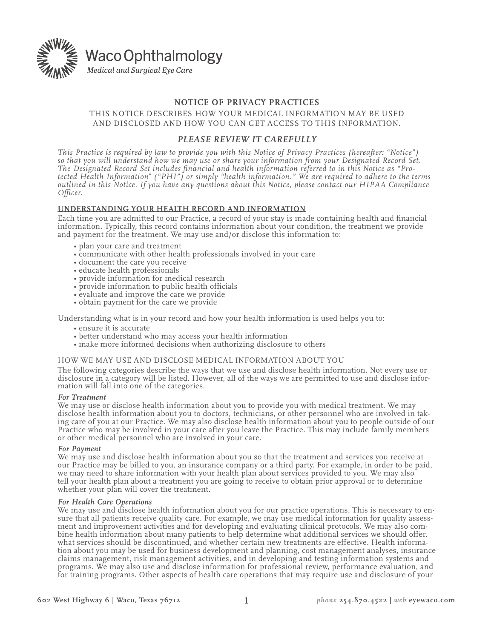

# **NOTICE OF PRIVACY PRACTICES**

## THIS NOTICE DESCRIBES HOW YOUR MEDICAL INFORMATION MAY BE USED AND DISCLOSED AND HOW YOU CAN GET ACCESS TO THIS INFORMATION.

## *Please review it carefully*

*This Practice is required by law to provide you with this Notice of Privacy Practices (hereafter: "Notice") so that you will understand how we may use or share your information from your Designated Record Set. The Designated Record Set includes financial and health information referred to in this Notice as "Protected Health Information" ("PHI") or simply "health information." We are required to adhere to the terms outlined in this Notice. If you have any questions about this Notice, please contact our HIPAA Compliance Officer.* 

## **UNDERSTANDING YOUR HEALTH RECORD AND INFORMATION**

Each time you are admitted to our Practice, a record of your stay is made containing health and financial information. Typically, this record contains information about your condition, the treatment we provide and payment for the treatment. We may use and/or disclose this information to:

- plan your care and treatment
- communicate with other health professionals involved in your care
- document the care you receive
- educate health professionals
- provide information for medical research
- provide information to public health officials
- evaluate and improve the care we provide
- obtain payment for the care we provide

Understanding what is in your record and how your health information is used helps you to:

- ensure it is accurate
- better understand who may access your health information
- make more informed decisions when authorizing disclosure to others

### HOW WE MAY USE AND DISCLOSE MEDICAL INFORMATION ABOUT YOU

The following categories describe the ways that we use and disclose health information. Not every use or disclosure in a category will be listed. However, all of the ways we are permitted to use and disclose information will fall into one of the categories.

### *For Treatment*

We may use or disclose health information about you to provide you with medical treatment. We may disclose health information about you to doctors, technicians, or other personnel who are involved in taking care of you at our Practice. We may also disclose health information about you to people outside of our Practice who may be involved in your care after you leave the Practice. This may include family members or other medical personnel who are involved in your care.

### *For Payment*

We may use and disclose health information about you so that the treatment and services you receive at our Practice may be billed to you, an insurance company or a third party. For example, in order to be paid, we may need to share information with your health plan about services provided to you. We may also tell your health plan about a treatment you are going to receive to obtain prior approval or to determine whether your plan will cover the treatment.

*For Health Care Operations* sure that all patients receive quality care. For example, we may use medical information for quality assessment and improvement activities and for developing and evaluating clinical protocols. We may also combine health in what services should be discontinued, and whether certain new treatments are effective. Health informa-<br>tion about you may be used for business development and planning, cost management analyses, insurance claims management, risk management activities, and in developing and testing information systems and programs. We may also use and disclose information for professional review, performance evaluation, and for training programs. Other aspects of health care operations that may require use and disclosure of your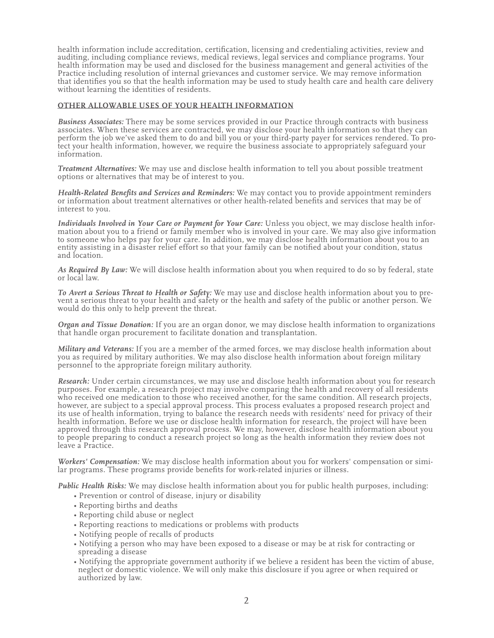health information include accreditation, certification, licensing and credentialing activities, review and auditing, including compliance reviews, medical reviews, legal services and compliance programs. Your health information may be used and disclosed for the business management and general activities of the Practice including resolution of internal grievances and customer service. We may remove information that identifies you so that the health information may be used to study health care and health care delivery without learning the identities of residents.

## **OTHER ALLOWABLE USES OF YOUR HEALTH INFORMATION**

*Business Associates:* There may be some services provided in our Practice through contracts with business associates. When these services are contracted, we may disclose your health information so that they can<br>perform the job we've asked them to do and bill you or your third-party payer for services rendered. To protect your health information, however, we require the business associate to appropriately safeguard your information.

*Treatment Alternatives:* We may use and disclose health information to tell you about possible treatment options or alternatives that may be of interest to you.

*Health-Related Benefits and Services and Reminders:* We may contact you to provide appointment reminders or information about treatment alternatives or other health-related benefits and services that may be of interest to you.

*Individuals Involved in Your Care or Payment for Your Care:* Unless you object, we may disclose health information about you to a friend or family member who is involved in your care. We may also give information to someone who helps pay for your care. In addition, we may disclose health information about you to an entity assisting in a disaster relief effort so that your family can be notified about your condition, status and location.

*As Required By Law:* We will disclose health information about you when required to do so by federal, state or local law.

*To Avert a Serious Threat to Health or Safety:* We may use and disclose health information about you to prevent a serious threat to your health and safety or the health and safety of the public or another person. We would do this only to help prevent the threat.

*Organ and Tissue Donation:* If you are an organ donor, we may disclose health information to organizations that handle organ procurement to facilitate donation and transplantation.

*Military and Veterans:* If you are a member of the armed forces, we may disclose health information about you as required by military authorities. We may also disclose health information about foreign military personnel to the appropriate foreign military authority.

*Research:* Under certain circumstances, we may use and disclose health information about you for research purposes. For example, a research project may involve comparing the health and recovery of all residents who received one medication to those who received another, for the same condition. All research projects, however, are subject to a special approval process. This process evaluates a proposed research project and its use of health information, trying to balance the research needs with residents' need for privacy of their health information. Before we use or disclose health information for research, the project will have been approved through this research approval process. We may, however, disclose health information about you to people preparing to conduct a research project so long as the health information they review does not leave a Practice.

*Workers' Compensation:* We may disclose health information about you for workers' compensation or similar programs. These programs provide benefits for work-related injuries or illness.

*Public Health Risks:* We may disclose health information about you for public health purposes, including:

- Prevention or control of disease, injury or disability
- Reporting births and deaths
- Reporting child abuse or neglect
- Reporting reactions to medications or problems with products
- Notifying people of recalls of products
- Notifying a person who may have been exposed to a disease or may be at risk for contracting or spreading a disease
- Notifying the appropriate government authority if we believe a resident has been the victim of abuse, neglect or domestic violence. We will only make this disclosure if you agree or when required or authorized by law.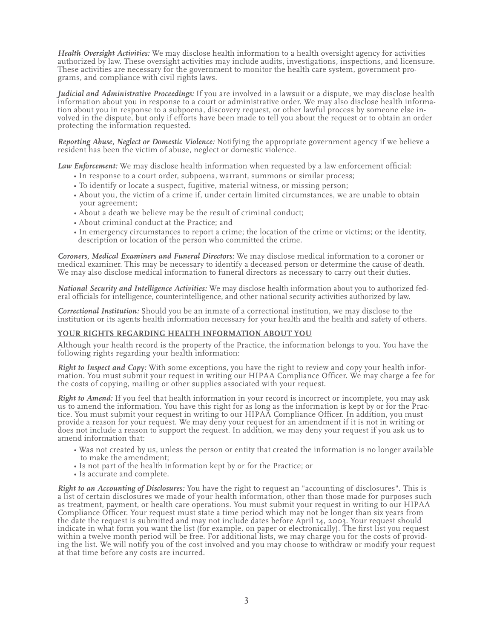*Health Oversight Activities:* We may disclose health information to a health oversight agency for activities authorized by law. These oversight activities may include audits, investigations, inspections, and licensure. These activities are necessary for the government to monitor the health care system, government programs, and compliance with civil rights laws.

*Judicial and Administrative Proceedings:* If you are involved in a lawsuit or a dispute, we may disclose health information about you in response to a court or administrative order. We may also disclose health information about you in response to a subpoena, discovery request, or other lawful process by someone else involved in the dispute, but only if efforts have been made to tell you about the request or to obtain an order protecting the information requested.

*Reporting Abuse, Neglect or Domestic Violence:* Notifying the appropriate government agency if we believe a resident has been the victim of abuse, neglect or domestic violence.

*Law Enforcement:* We may disclose health information when requested by a law enforcement official:

- In response to a court order, subpoena, warrant, summons or similar process;
- To identify or locate a suspect, fugitive, material witness, or missing person;
- About you, the victim of a crime if, under certain limited circumstances, we are unable to obtain your agreement;
- About a death we believe may be the result of criminal conduct;
- About criminal conduct at the Practice; and
- In emergency circumstances to report a crime; the location of the crime or victims; or the identity, description or location of the person who committed the crime.

*Coroners, Medical Examiners and Funeral Directors:* We may disclose medical information to a coroner or medical examiner. This may be necessary to identify a deceased person or determine the cause of death. We may also disclose medical information to funeral directors as necessary to carry out their duties.

*National Security and Intelligence Activities:* We may disclose health information about you to authorized federal officials for intelligence, counterintelligence, and other national security activities authorized by law.

*Correctional Institution:* Should you be an inmate of a correctional institution, we may disclose to the institution or its agents health information necessary for your health and the health and safety of others.

### **YOUR RIGHTS REGARDING HEALTH INFORMATION ABOUT YOU**

Although your health record is the property of the Practice, the information belongs to you. You have the following rights regarding your health information:

*Right to Inspect and Copy:* With some exceptions, you have the right to review and copy your health information. You must submit your request in writing our HIPAA Compliance Officer. We may charge a fee for the costs of copying, mailing or other supplies associated with your request.

*Right to Amend:* If you feel that health information in your record is incorrect or incomplete, you may ask us to amend the information. You have this right for as long as the information is kept by or for the Practice. You must submit your request in writing to our HIPAA Compliance Officer. In addition, you must provide a reason for your request. We may deny your request for an amendment if it is not in writing or does not include a reason to support the request. In addition, we may deny your request if you ask us to amend information that:

- Was not created by us, unless the person or entity that created the information is no longer available to make the amendment;<br>• Is not part of the health information kept by or for the Practice; or Is accurate and comp
- 
- 

*Right to an Accounting of Disclosures:* You have the right to request an "accounting of disclosures". This is a list of certain disclosures we made of your health information, other than those made for purposes such as treatment, payment, or health care operations. You must submit your request in writing to our HIPAA Compliance Officer. Your request must state a time period which may not be longer than six years from the date the request is submitted and may not include dates before April 14, 2003. Your request should indicate in what form you want the list (for example, on paper or electronically). The first list you request within a twelve month period will be free. For additional lists, we may charge you for the costs of providing the list. We will notify you of the cost involved and you may choose to withdraw or modify your request at that time before any costs are incurred.